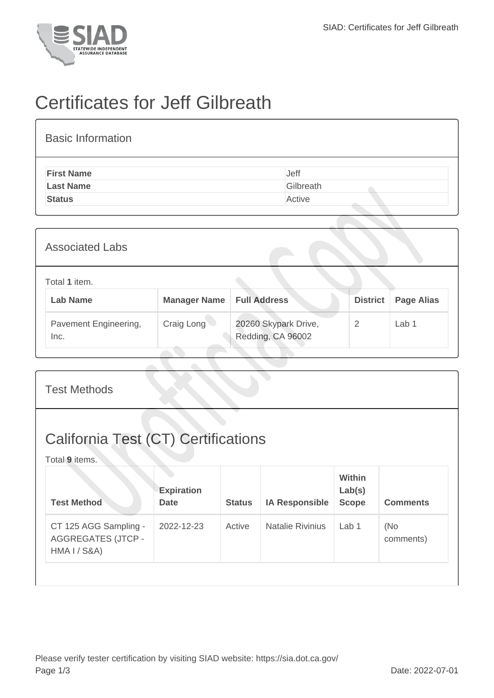

## Certificates for Jeff Gilbreath

| <b>Basic Information</b> |           |
|--------------------------|-----------|
| <b>First Name</b>        | Jeff      |
| <b>Last Name</b>         | Gilbreath |
| <b>Status</b>            | Active    |

| <b>Associated Labs</b>           |                     |                                           |                 |                   |
|----------------------------------|---------------------|-------------------------------------------|-----------------|-------------------|
| Total 1 item.<br><b>Lab Name</b> | <b>Manager Name</b> | <b>Full Address</b>                       | <b>District</b> | <b>Page Alias</b> |
| Pavement Engineering,<br>Inc.    | Craig Long          | 20260 Skypark Drive,<br>Redding, CA 96002 | 2               | Lab <sub>1</sub>  |

| <b>Test Methods</b>                                                |                                  |               |                         |                                         |                  |  |
|--------------------------------------------------------------------|----------------------------------|---------------|-------------------------|-----------------------------------------|------------------|--|
| <b>California Test (CT) Certifications</b><br>Total 9 items.       |                                  |               |                         |                                         |                  |  |
| <b>Test Method</b>                                                 | <b>Expiration</b><br><b>Date</b> | <b>Status</b> | <b>IA Responsible</b>   | <b>Within</b><br>Lab(s)<br><b>Scope</b> | <b>Comments</b>  |  |
| CT 125 AGG Sampling -<br><b>AGGREGATES (JTCP -</b><br>HMA I / S&A) | 2022-12-23                       | Active        | <b>Natalie Rivinius</b> | Lab <sub>1</sub>                        | (No<br>comments) |  |
|                                                                    |                                  |               |                         |                                         |                  |  |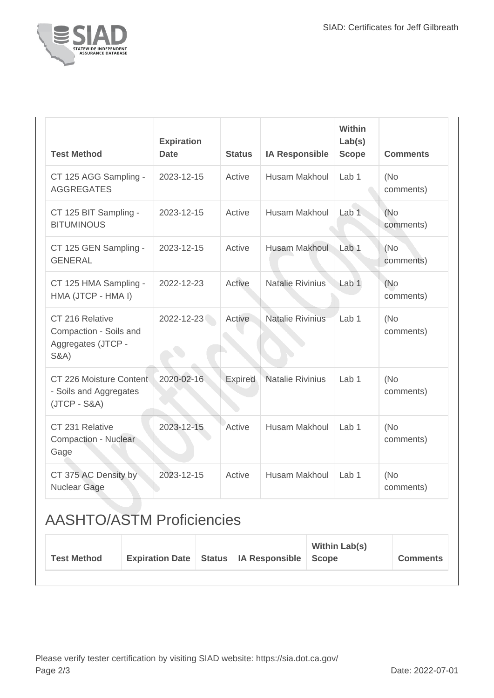

| <b>Test Method</b>                                                                  | <b>Expiration</b><br><b>Date</b> | <b>Status</b>  | <b>IA Responsible</b>   | <b>Within</b><br>Lab(s)<br><b>Scope</b> | <b>Comments</b>   |
|-------------------------------------------------------------------------------------|----------------------------------|----------------|-------------------------|-----------------------------------------|-------------------|
| CT 125 AGG Sampling -<br><b>AGGREGATES</b>                                          | 2023-12-15                       | Active         | Husam Makhoul           | Lab 1                                   | (No<br>comments)  |
| CT 125 BIT Sampling -<br><b>BITUMINOUS</b>                                          | 2023-12-15                       | Active         | Husam Makhoul           | Lab <sub>1</sub>                        | (No)<br>comments) |
| CT 125 GEN Sampling -<br><b>GENERAL</b>                                             | 2023-12-15                       | Active         | Husam Makhoul           | Lab 1                                   | (No<br>comments)  |
| CT 125 HMA Sampling -<br>HMA (JTCP - HMA I)                                         | 2022-12-23                       | Active         | <b>Natalie Rivinius</b> | Lab <sub>1</sub>                        | (No<br>comments)  |
| CT 216 Relative<br>Compaction - Soils and<br>Aggregates (JTCP -<br><b>S&amp;A</b> ) | 2022-12-23                       | Active         | <b>Natalie Rivinius</b> | Lab <sub>1</sub>                        | (No<br>comments)  |
| CT 226 Moisture Content<br>- Soils and Aggregates<br>$(JTCP - S&A)$                 | 2020-02-16                       | <b>Expired</b> | <b>Natalie Rivinius</b> | Lab <sub>1</sub>                        | (No<br>comments)  |
| CT 231 Relative<br>Compaction - Nuclear<br>Gage                                     | 2023-12-15                       | Active         | Husam Makhoul           | Lab <sub>1</sub>                        | (No<br>comments)  |
| CT 375 AC Density by<br>Nuclear Gage                                                | 2023-12-15                       | Active         | Husam Makhoul           | Lab <sub>1</sub>                        | (No<br>comments)  |

## AASHTO/ASTM Proficiencies

| Expiration Date   Status   IA Responsible   Scope<br><b>Test Method</b><br><b>Comments</b> |  |  |  |  | <b>Within Lab(s)</b> |  |
|--------------------------------------------------------------------------------------------|--|--|--|--|----------------------|--|
|--------------------------------------------------------------------------------------------|--|--|--|--|----------------------|--|